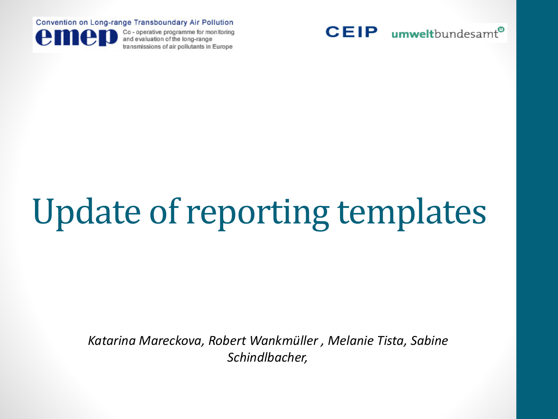Convention on Long-range Transboundary Air Pollution



Co - operative programme for monitoring and evaluation of the long-range transmissions of air pollutants in Europe



## Update of reporting templates

*Katarina Mareckova, Robert Wankmüller , Melanie Tista, Sabine Schindlbacher,*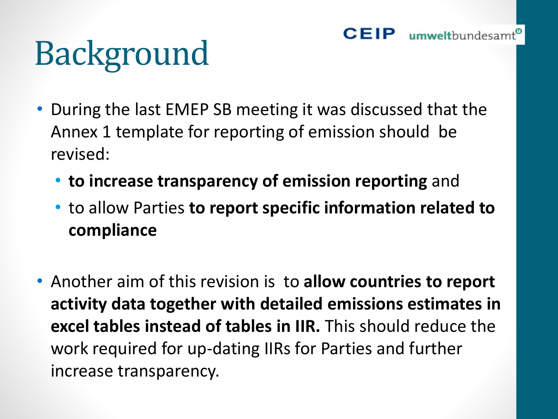### Background

- During the last EMEP SB meeting it was discussed that the Annex 1 template for reporting of emission should be revised:
	- **to increase transparency of emission reporting** and
	- to allow Parties **to report specific information related to compliance**
- Another aim of this revision is to **allow countries to report activity data together with detailed emissions estimates in excel tables instead of tables in IIR.** This should reduce the work required for up-dating IIRs for Parties and further increase transparency.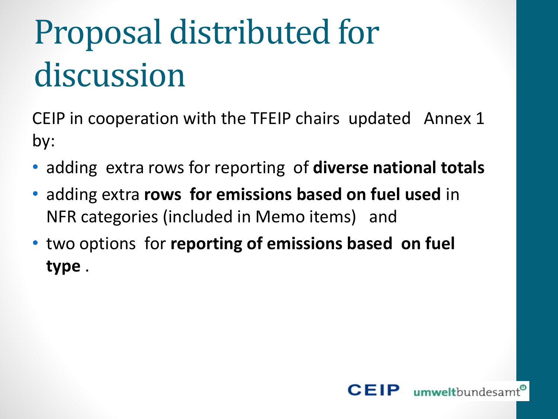### Proposal distributed for discussion

CEIP in cooperation with the TFEIP chairs updated Annex 1 by:

- adding extra rows for reporting of **diverse national totals**
- adding extra **rows for emissions based on fuel used** in NFR categories (included in Memo items) and
- two options for **reporting of emissions based on fuel type** .

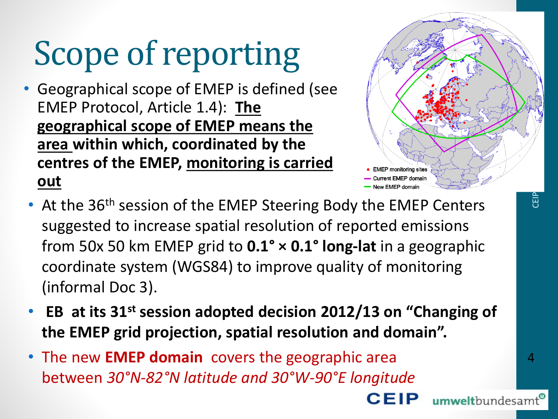### Scope of reporting

- Geographical scope of EMEP is defined (see EMEP Protocol, Article 1.4): **The geographical scope of EMEP means the area within which, coordinated by the centres of the EMEP, monitoring is carried out**
- New EMEP domain • At the 36<sup>th</sup> session of the EMEP Steering Body the EMEP Centers suggested to increase spatial resolution of reported emissions from 50x 50 km EMEP grid to **0.1° × 0.1° long-lat** in a geographic coordinate system (WGS84) to improve quality of monitoring (informal Doc 3).
- **EB at its 31st session adopted decision 2012/13 on "Changing of the EMEP grid projection, spatial resolution and domain".**
- The new **EMEP domain** covers the geographic area between *30°N-82°N latitude and 30°W-90°E longitude*

EMEP monitoring sites urrent EMEP domair

**CEIP** 

CEIP

umweltbundesamt<sup>®</sup>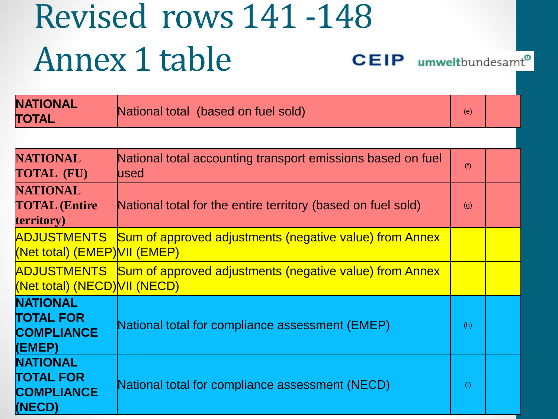#### Revised rows 141 -148 Annex 1 table **CEIP** umweltbundesamt®

| <b>NATIONAL</b><br>TOTAL                                                 | National total (based on fuel sold)                                  |     |  |
|--------------------------------------------------------------------------|----------------------------------------------------------------------|-----|--|
|                                                                          |                                                                      |     |  |
| <b>NATIONAL</b><br><b>TOTAL (FU)</b>                                     | National total accounting transport emissions based on fuel<br>lused |     |  |
| <b>NATIONAL</b><br><b>TOTAL (Entire</b><br><b>territory</b> )            | National total for the entire territory (based on fuel sold)         |     |  |
| ADJUSTMENTS<br>(Net total) (EMEP) VII (EMEP)                             | <b>Sum of approved adjustments (negative value) from Annex</b>       |     |  |
| ADJUSTMENTS<br>(Net total) (NECD) VII (NECD)                             | Sum of approved adjustments (negative value) from Annex              |     |  |
| <b>NATIONAL</b><br><b>TOTAL FOR</b><br><b>COMPLIANCE</b><br>(EMEP)       | National total for compliance assessment (EMEP)                      | (h) |  |
| <b>NATIONAL</b><br><b>TOTAL FOR</b><br><b>COMPLIANCE</b><br>$\mathbf{A}$ | National total for compliance assessment (NECD)                      |     |  |

**(NECD)**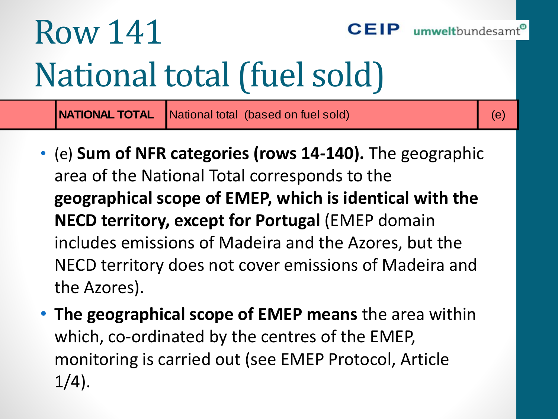#### Row 141 CFIP umweltbundesam National total (fuel sold)

- (e) **Sum of NFR categories (rows 14-140).** The geographic area of the National Total corresponds to the **geographical scope of EMEP, which is identical with the NECD territory, except for Portugal** (EMEP domain includes emissions of Madeira and the Azores, but the NECD territory does not cover emissions of Madeira and the Azores). **NATIONAL TOTAL National total (based on fuel sold)** (e)<br>
(e) **Sum of NFR categories (rows 14-140).** The geographic<br>
area of the National Total corresponds to the<br> **geographical scope of EMEP, which is identical with the**
- **The geographical scope of EMEP means** the area within which, co-ordinated by the centres of the EMEP, monitoring is carried out (see EMEP Protocol, Article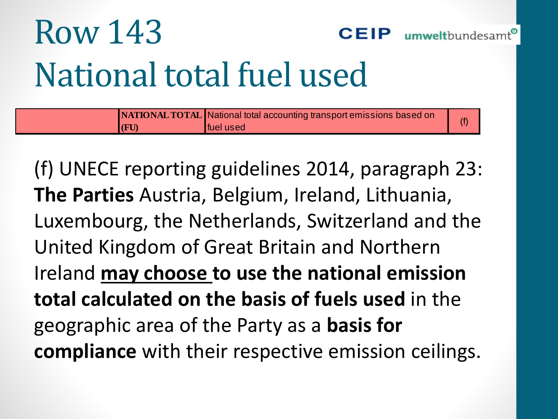### Row 143 National total fuel used

|              | <b>NATIONAL TOTAL National total accounting transport emissions based on</b> |  |
|--------------|------------------------------------------------------------------------------|--|
| $\vert$ (FU) | <b>I</b> fuel used                                                           |  |

umweltbundesamt<sup>e</sup>

(f) UNECE reporting guidelines 2014, paragraph 23: **The Parties** Austria, Belgium, Ireland, Lithuania, Luxembourg, the Netherlands, Switzerland and the United Kingdom of Great Britain and Northern Ireland **may choose to use the national emission total calculated on the basis of fuels used** in the geographic area of the Party as a **basis for compliance** with their respective emission ceilings.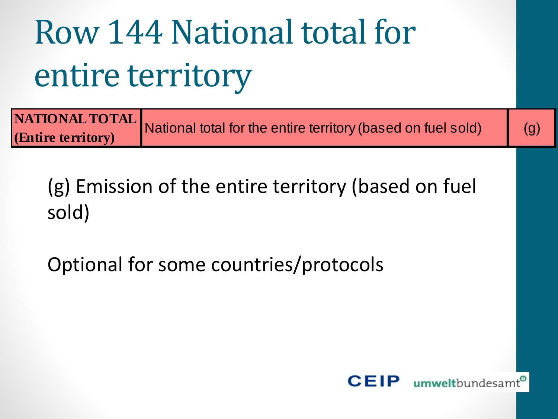### Row 144 National total for entire territory

|                    | <b>AATIONAL TOTAL</b> National total for the entire territory (based on fuel sold) |     |
|--------------------|------------------------------------------------------------------------------------|-----|
| (Entire territory) |                                                                                    | (g) |

(g) Emission of the entire territory (based on fuel sold)

Optional for some countries/protocols

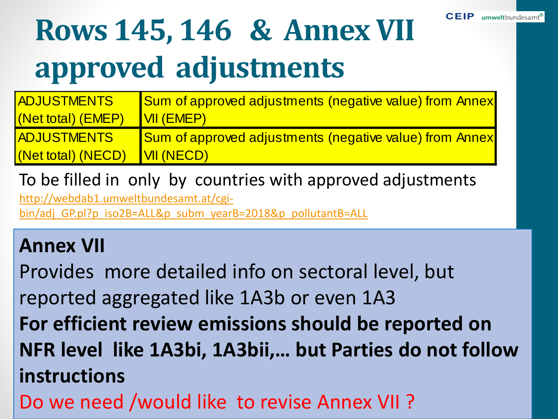### **Rows 145, 146 & Annex VII approved adjustments**

| <b>ADJUSTMENTS</b> | <b>Sum of approved adjustments (negative value) from Annex</b> |
|--------------------|----------------------------------------------------------------|
| (Net total) (EMEP) | <b>VII (EMEP)</b>                                              |
| <b>ADJUSTMENTS</b> | <b>Sum of approved adjustments (negative value) from Annex</b> |
| (Net total) (NECD) | <b>VII (NECD)</b>                                              |

To be filled in only by countries with approved adjustments

http://webdab1.umweltbundesamt.at/cgi[bin/adj\\_GP.pl?p\\_iso2B=ALL&p\\_subm\\_yearB=2018&p\\_pollutantB=ALL](http://webdab1.umweltbundesamt.at/cgi-bin/adj_GP.pl?p_iso2B=ALL&p_subm_yearB=2018&p_pollutantB=ALL)

#### **Annex VII**

Provides more detailed info on sectoral level, but reported aggregated like 1A3b or even 1A3 **For efficient review emissions should be reported on NFR level like 1A3bi, 1A3bii,… but Parties do not follow instructions**  Do we need /would like to revise Annex VII ?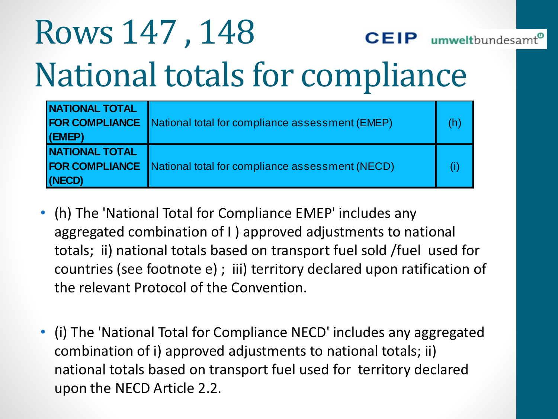#### Rows 147 , 148 umweltbundesamt<sup>®</sup> CEIP National totals for compliance

| <b>NATIONAL TOTAL</b><br>$ $ (EMEP) | <b>FOR COMPLIANCE</b> National total for compliance assessment (EMEP) |  |
|-------------------------------------|-----------------------------------------------------------------------|--|
| <b>NATIONAL TOTAL</b><br>(NECD)     | <b>FOR COMPLIANCE</b> National total for compliance assessment (NECD) |  |

- (h) The 'National Total for Compliance EMEP' includes any aggregated combination of I ) approved adjustments to national totals; ii) national totals based on transport fuel sold /fuel used for countries (see footnote e) ; iii) territory declared upon ratification of the relevant Protocol of the Convention.
- (i) The 'National Total for Compliance NECD' includes any aggregated combination of i) approved adjustments to national totals; ii) national totals based on transport fuel used for territory declared upon the NECD Article 2.2.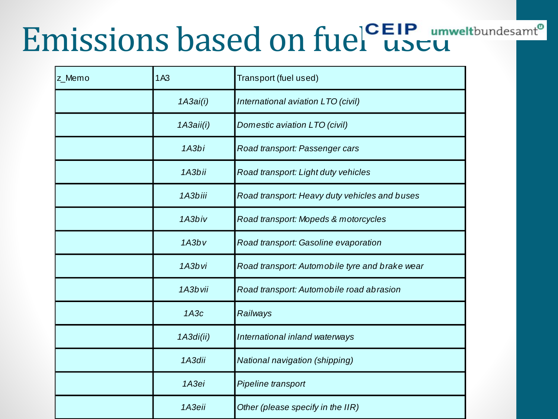### Emissions based on fuel useu

| z_Memo | 1A <sub>3</sub> | Transport (fuel used)                          |
|--------|-----------------|------------------------------------------------|
|        | 1A3ai(i)        | International aviation LTO (civil)             |
|        | 1A3aii(i)       | Domestic aviation LTO (civil)                  |
|        | 1A3bi           | Road transport: Passenger cars                 |
|        | 1A3bii          | Road transport: Light duty vehicles            |
|        | 1A3biii         | Road transport: Heavy duty vehicles and buses  |
|        | 1A3biv          | Road transport: Mopeds & motorcycles           |
|        | 1A3bv           | Road transport: Gasoline evaporation           |
|        | 1A3bvi          | Road transport: Automobile tyre and brake wear |
|        | 1A3bvii         | Road transport: Automobile road abrasion       |
|        | 1A3c            | Railways                                       |
|        | 1A3di(ii)       | International inland waterways                 |
|        | 1A3dii          | National navigation (shipping)                 |
|        | 1A3ei           | Pipeline transport                             |
|        | 1АЗеіі          | Other (please specify in the IIR)              |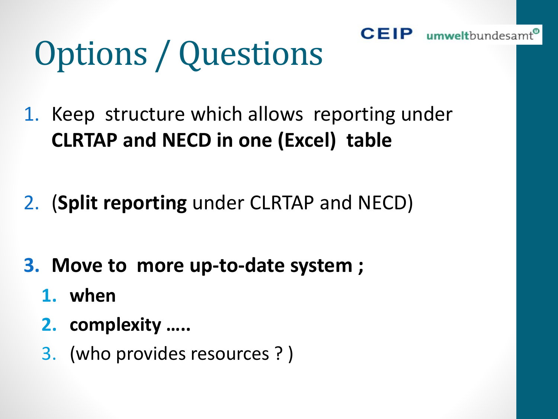### Options / Questions

1. Keep structure which allows reporting under **CLRTAP and NECD in one (Excel) table** 

**CEIP** umweltbundesamt<sup>®</sup>

- 2. (**Split reporting** under CLRTAP and NECD)
- **3. Move to more up-to-date system ;** 
	- **1. when**
	- **2. complexity …..**
	- 3. (who provides resources ? )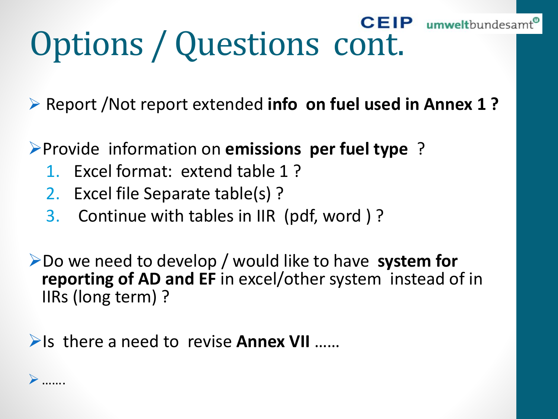# **Options / Questions cont.**

➢ Report /Not report extended **info on fuel used in Annex 1 ?**

➢Provide information on **emissions per fuel type** ?

- 1. Excel format: extend table 1 ?
- 2. Excel file Separate table(s) ?
- 3. Continue with tables in IIR (pdf, word ) ?

➢Do we need to develop / would like to have **system for reporting of AD and EF** in excel/other system instead of in IIRs (long term) ?

➢Is there a need to revise **Annex VII** ……

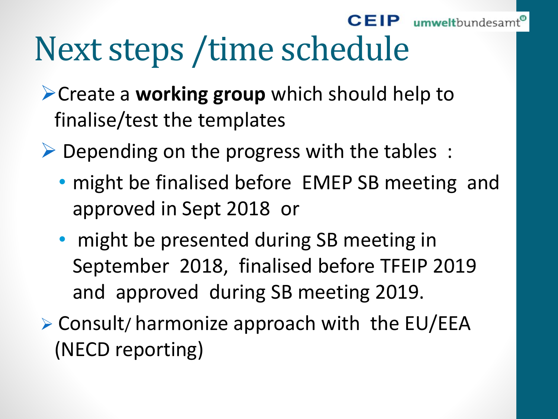#### **CEIP** umweltbundesamt

### Next steps /time schedule

- ➢Create a **working group** which should help to finalise/test the templates
- $\triangleright$  Depending on the progress with the tables :
	- might be finalised before EMEP SB meeting and approved in Sept 2018 or
	- might be presented during SB meeting in September 2018, finalised before TFEIP 2019 and approved during SB meeting 2019.
- ➢ Consult/ harmonize approach with the EU/EEA (NECD reporting)